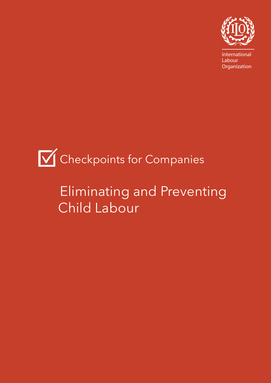

International Labour **Organization** 

# **V** Checkpoints for Companies

## Eliminating and Preventing Child Labour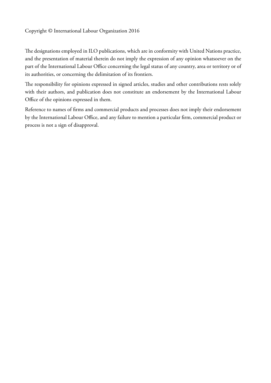The designations employed in ILO publications, which are in conformity with United Nations practice, and the presentation of material therein do not imply the expression of any opinion whatsoever on the part of the International Labour Office concerning the legal status of any country, area or territory or of its authorities, or concerning the delimitation of its frontiers.

The responsibility for opinions expressed in signed articles, studies and other contributions rests solely with their authors, and publication does not constitute an endorsement by the International Labour Office of the opinions expressed in them.

Reference to names of firms and commercial products and processes does not imply their endorsement by the International Labour Office, and any failure to mention a particular firm, commercial product or process is not a sign of disapproval.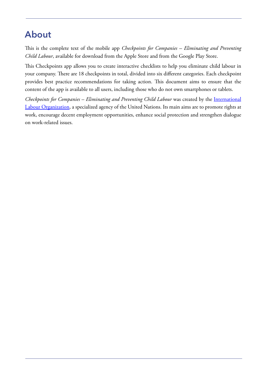### **About**

This is the complete text of the mobile app *Checkpoints for Companies – Eliminating and Preventing Child Labour*, available for download from the Apple Store and from the Google Play Store.

This Checkpoints app allows you to create interactive checklists to help you eliminate child labour in your company. There are 18 checkpoints in total, divided into six different categories. Each checkpoint provides best practice recommendations for taking action. This document aims to ensure that the content of the app is available to all users, including those who do not own smartphones or tablets.

*Checkpoints for Companies – Eliminating and Preventing Child Labour* was created by the [International](International Labour Organization) [Labour Organization](International Labour Organization), a specialized agency of the United Nations. Its main aims are to promote rights at work, encourage decent employment opportunities, enhance social protection and strengthen dialogue on work-related issues.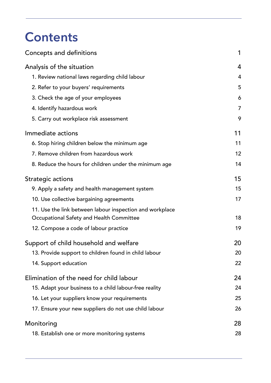## **Contents**

| Concepts and definitions                                 | 1              |
|----------------------------------------------------------|----------------|
| Analysis of the situation                                | 4              |
| 1. Review national laws regarding child labour           | 4              |
| 2. Refer to your buyers' requirements                    | 5              |
| 3. Check the age of your employees                       | 6              |
| 4. Identify hazardous work                               | $\overline{7}$ |
| 5. Carry out workplace risk assessment                   | 9              |
| Immediate actions                                        | 11             |
| 6. Stop hiring children below the minimum age            | 11             |
| 7. Remove children from hazardous work                   | 12             |
| 8. Reduce the hours for children under the minimum age   | 14             |
| Strategic actions                                        | 15             |
| 9. Apply a safety and health management system           | 15             |
| 10. Use collective bargaining agreements                 | 17             |
| 11. Use the link between labour inspection and workplace |                |
| Occupational Safety and Health Committee                 | 18             |
| 12. Compose a code of labour practice                    | 19             |
| Support of child household and welfare                   | 20             |
| 13. Provide support to children found in child labour    | 20             |
| 14. Support education                                    | 22             |
| Elimination of the need for child labour                 | 24             |
| 15. Adapt your business to a child labour-free reality   | 24             |
| 16. Let your suppliers know your requirements            | 25             |
| 17. Ensure your new suppliers do not use child labour    | 26             |
| Monitoring                                               | 28             |
| 18. Establish one or more monitoring systems             | 28             |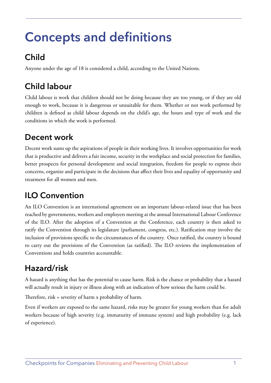## <span id="page-4-0"></span>**Concepts and definitions**

## **Child**

Anyone under the age of 18 is considered a child, according to the United Nations.

## **Child labour**

Child labour is work that children should not be doing because they are too young, or if they are old enough to work, because it is dangerous or unsuitable for them. Whether or not work performed by children is defined as child labour depends on the child's age, the hours and type of work and the conditions in which the work is performed.

### **Decent work**

Decent work sums up the aspirations of people in their working lives. It involves opportunities for work that is productive and delivers a fair income, security in the workplace and social protection for families, better prospects for personal development and social integration, freedom for people to express their concerns, organize and participate in the decisions that affect their lives and equality of opportunity and treatment for all women and men.

### **ILO Convention**

An ILO Convention is an international agreement on an important labour-related issue that has been reached by governments, workers and employers meeting at the annual International Labour Conference of the ILO. After the adoption of a Convention at the Conference, each country is then asked to ratify the Convention through its legislature (parliament, congress, etc.). Ratification may involve the inclusion of provisions specific to the circumstances of the country. Once ratified, the country is bound to carry out the provisions of the Convention (as ratified). The ILO reviews the implementation of Conventions and holds countries accountable.

### **Hazard/risk**

A hazard is anything that has the potential to cause harm. Risk is the chance or probability that a hazard will actually result in injury or illness along with an indication of how serious the harm could be.

Therefore, risk = severity of harm x probability of harm.

Even if workers are exposed to the same hazard, risks may be greater for young workers than for adult workers because of high severity (e.g. immaturity of immune system) and high probability (e.g. lack of experience).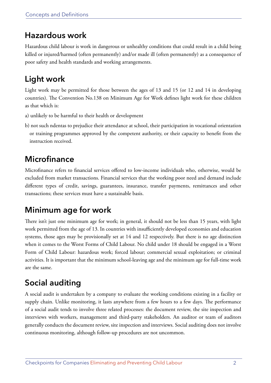### **Hazardous work**

Hazardous child labour is work in dangerous or unhealthy conditions that could result in a child being killed or injured/harmed (often permanently) and/or made ill (often permanently) as a consequence of poor safety and health standards and working arrangements.

## **Light work**

Light work may be permitted for those between the ages of 13 and 15 (or 12 and 14 in developing countries). The Convention No.138 on Minimum Age for Work defines light work for these children as that which is:

- a) unlikely to be harmful to their health or development
- b) not such ndentas to prejudice their attendance at school, their participation in vocational orientation or training programmes approved by the competent authority, or their capacity to benefit from the instruction received.

### **Microfinance**

Microfinance refers to financial services offered to low-income individuals who, otherwise, would be excluded from market transactions. Financial services that the working poor need and demand include different types of credit, savings, guarantees, insurance, transfer payments, remittances and other transactions; these services must have a sustainable basis.

### **Minimum age for work**

There isn't just one minimum age for work; in general, it should not be less than 15 years, with light work permitted from the age of 13. In countries with insufficiently developed economies and education systems, those ages may be provisionally set at 14 and 12 respectively. But there is no age distinction when it comes to the Worst Forms of Child Labour. No child under 18 should be engaged in a Worst Form of Child Labour: hazardous work; forced labour; commercial sexual exploitation; or criminal activities. It is important that the minimum school-leaving age and the minimum age for full-time work are the same.

### **Social auditing**

A social audit is undertaken by a company to evaluate the working conditions existing in a facility or supply chain. Unlike monitoring, it lasts anywhere from a few hours to a few days. The performance of a social audit tends to involve three related processes: the document review, the site inspection and interviews with workers, management and third-party stakeholders. An auditor or team of auditors generally conducts the document review, site inspection and interviews. Social auditing does not involve continuous monitoring, although follow-up procedures are not uncommon.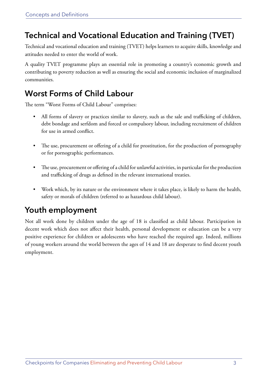### **Technical and Vocational Education and Training (TVET)**

Technical and vocational education and training (TVET) helps learners to acquire skills, knowledge and attitudes needed to enter the world of work.

A quality TVET programme plays an essential role in promoting a country's economic growth and contributing to poverty reduction as well as ensuring the social and economic inclusion of marginalized communities.

### **Worst Forms of Child Labour**

The term "Worst Forms of Child Labour" comprises:

- All forms of slavery or practices similar to slavery, such as the sale and trafficking of children, debt bondage and serfdom and forced or compulsory labour, including recruitment of children for use in armed conflict.
- The use, procurement or offering of a child for prostitution, for the production of pornography or for pornographic performances.
- The use, procurement or offering of a child for unlawful activities, in particular for the production and trafficking of drugs as defined in the relevant international treaties.
- Work which, by its nature or the environment where it takes place, is likely to harm the health, safety or morals of children (referred to as hazardous child labour).

### **Youth employment**

Not all work done by children under the age of 18 is classified as child labour. Participation in decent work which does not affect their health, personal development or education can be a very positive experience for children or adolescents who have reached the required age. Indeed, millions of young workers around the world between the ages of 14 and 18 are desperate to find decent youth employment.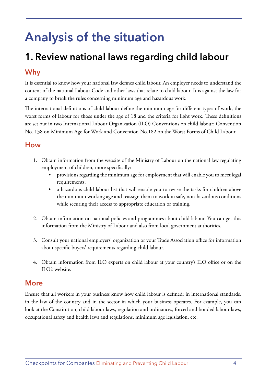## <span id="page-7-0"></span>**Analysis of the situation**

## **1. Review national laws regarding child labour**

### **Why**

It is essential to know how your national law defines child labour. An employer needs to understand the content of the national Labour Code and other laws that relate to child labour. It is against the law for a company to break the rules concerning minimum age and hazardous work.

The international definitions of child labour define the minimum age for different types of work, the worst forms of labour for those under the age of 18 and the criteria for light work. These definitions are set out in two International Labour Organization (ILO) Conventions on child labour: [Convention](http://blue.lim.ilo.org/cariblex/pdfs/ILO_Convention_138.pdf) [No. 138](http://blue.lim.ilo.org/cariblex/pdfs/ILO_Convention_138.pdf) on Minimum Age for Work and [Convention No.182](http://www.ilo.org/wcmsp5/groups/public/---ed_norm/---declaration/documents/publication/wcms_decl_fs_46_en.pdf) on the Worst Forms of Child Labour.

### **How**

- 1. Obtain information from the website of the Ministry of Labour on the national law regulating employment of children, more specifically:
	- provisions regarding the minimum age for employment that will enable you to meet legal requirements;
	- a hazardous child labour list that will enable you to revise the tasks for children above the minimum working age and reassign them to work in safe, non-hazardous conditions while securing their access to appropriate education or training.
- 2. Obtain information on national policies and programmes about child labour. You can get this information from the Ministry of Labour and also from local government authorities.
- 3. Consult your national employers' organization or your Trade Association office for information about specific buyers' requirements regarding child labour.
- 4. Obtain information from ILO experts on child labour at your country's ILO office or on the ILO's website.

### **More**

Ensure that all workers in your business know how child labour is defined: in international standards, in the law of the country and in the sector in which your business operates. For example, you can look at the Constitution, child labour laws, regulation and ordinances, forced and bonded labour laws, occupational safety and health laws and regulations, minimum age legislation, etc.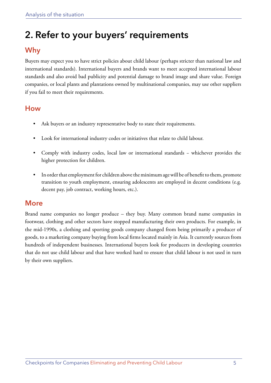## <span id="page-8-0"></span>**2. Refer to your buyers' requirements**

### **Why**

Buyers may expect you to have strict policies about child labour (perhaps stricter than national law and international standards). International buyers and brands want to meet accepted international labour standards and also avoid bad publicity and potential damage to brand image and share value. Foreign companies, or local plants and plantations owned by multinational companies, may use other suppliers if you fail to meet their requirements.

### **How**

- Ask buyers or an industry representative body to state their requirements.
- Look for international industry codes or initiatives that relate to child labour.
- Comply with industry codes, local law or international standards − whichever provides the higher protection for children.
- In order that employment for children above the minimum age will be of benefit to them, promote transition to youth employment, ensuring adolescents are employed in decent conditions (e.g. decent pay, job contract, working hours, etc.).

### **More**

Brand name companies no longer produce – they buy. Many common brand name companies in footwear, clothing and other sectors have stopped manufacturing their own products. For example, in the mid-1990s, a clothing and sporting goods company changed from being primarily a producer of goods, to a marketing company buying from local firms located mainly in Asia. It currently sources from hundreds of independent businesses. International buyers look for producers in developing countries that do not use child labour and that have worked hard to ensure that child labour is not used in turn by their own suppliers.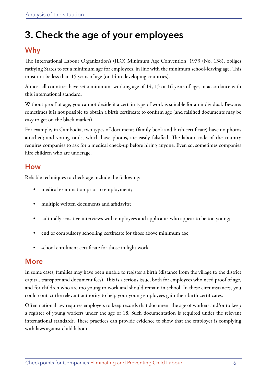## <span id="page-9-0"></span>**3. Check the age of your employees**

### **Why**

The International Labour Organization's (ILO) Minimum Age Convention, 1973 (No. 138), obliges ratifying States to set a minimum age for employees, in line with the minimum school-leaving age. This must not be less than 15 years of age (or 14 in developing countries).

Almost all countries have set a minimum working age of 14, 15 or 16 years of age, in accordance with this international standard.

Without proof of age, you cannot decide if a certain type of work is suitable for an individual. Beware: sometimes it is not possible to obtain a birth certificate to confirm age (and falsified documents may be easy to get on the black market).

For example, in Cambodia, two types of documents (family book and birth certificate) have no photos attached; and voting cards, which have photos, are easily falsified. The labour code of the country requires companies to ask for a medical check-up before hiring anyone. Even so, sometimes companies hire children who are underage.

#### **How**

Reliable techniques to check age include the following:

- medical examination prior to employment;
- multiple written documents and affidavits;
- culturally sensitive interviews with employees and applicants who appear to be too young;
- end of compulsory schooling certificate for those above minimum age;
- school enrolment certificate for those in light work.

### **More**

In some cases, families may have been unable to register a birth (distance from the village to the district capital, transport and document fees). This is a serious issue, both for employees who need proof of age, and for children who are too young to work and should remain in school. In these circumstances, you could contact the relevant authority to help your young employees gain their birth certificates.

Often national law requires employers to keep records that document the age of workers and/or to keep a register of young workers under the age of 18. Such documentation is required under the relevant international standards. These practices can provide evidence to show that the employer is complying with laws against child labour.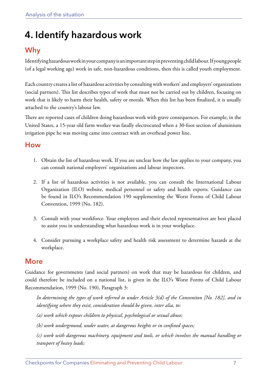## <span id="page-10-0"></span>**4. Identify hazardous work**

### **Why**

Identifying hazardous work in your company is an important step in preventing child labour. If young people (of a legal working age) work in safe, non-hazardous conditions, then this is called youth employment.

Each country creates a list of hazardous activities by consulting with workers' and employers' organizations (social partners). This list describes types of work that must not be carried out by children, focusing on work that is likely to harm their health, safety or morals. When this list has been finalized, it is usually attached to the country's labour law.

There are reported cases of children doing hazardous work with grave consequences. For example, in the United States, a 15-year old farm worker was fatally electrocuted when a 30-foot section of aluminium irrigation pipe he was moving came into contract with an overhead power line.

#### **How**

- 1. Obtain the list of hazardous work. If you are unclear how the law applies to your company, you can consult national employers' organizations and labour inspectors.
- 2. If a list of hazardous activities is not available, you can consult the International Labour Organization (ILO) website, medical personnel or safety and health experts. Guidance can be found in ILO's Recommendation 190 supplementing the Worst Forms of Child Labour Convention, 1999 (No. 182).
- 3. Consult with your workforce. Your employees and their elected representatives are best placed to assist you in understanding what hazardous work is in your workplace.
- 4. Consider pursuing a workplace safety and health risk assessment to determine hazards at the workplace.

### **More**

Guidance for governments (and social partners) on work that may be hazardous for children, and could therefore be included on a national list, is given in the ILO's Worst Forms of Child Labour Recommendation, 1999 (No. 190), Paragraph 3:

*In determining the types of work referred to under Article 3(d) of the Convention [No. 182], and in identifying where they exist, consideration should be given, inter alia, to:* 

*(a) work which exposes children to physical, psychological or sexual abuse;* 

*(b) work underground, under water, at dangerous heights or in confined spaces;* 

*(c) work with dangerous machinery, equipment and tools, or which involves the manual handling or transport of heavy loads;*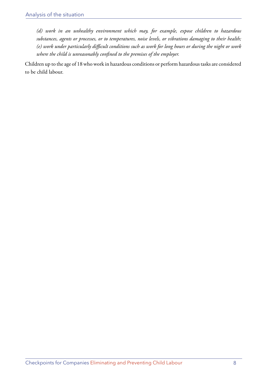*(d) work in an unhealthy environment which may, for example, expose children to hazardous substances, agents or processes, or to temperatures, noise levels, or vibrations damaging to their health; (e) work under particularly difficult conditions such as work for long hours or during the night or work where the child is unreasonably confined to the premises of the employer.*

Children up to the age of 18 who work in hazardous conditions or perform hazardous tasks are considered to be child labour.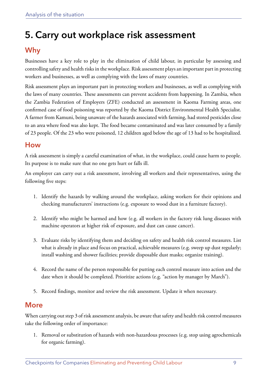## <span id="page-12-0"></span>**5. Carry out workplace risk assessment**

### **Why**

Businesses have a key role to play in the elimination of child labour, in particular by assessing and controlling safety and health risks in the workplace. Risk assessment plays an important part in protecting workers and businesses, as well as complying with the laws of many countries.

Risk assessment plays an important part in protecting workers and businesses, as well as complying with the laws of many countries. These assessments can prevent accidents from happening. In Zambia, when the Zambia Federation of Employers (ZFE) conducted an assessment in Kaoma Farming areas, one confirmed case of food poisoning was reported by the Kaoma District Environmental Health Specialist. A farmer from Kamuni, being unaware of the hazards associated with farming, had stored pesticides close to an area where food was also kept. The food became contaminated and was later consumed by a family of 23 people. Of the 23 who were poisoned, 12 children aged below the age of 13 had to be hospitalized.

### **How**

A risk assessment is simply a careful examination of what, in the workplace, could cause harm to people. Its purpose is to make sure that no one gets hurt or falls ill.

An employer can carry out a risk assessment, involving all workers and their representatives, using the following five steps:

- 1. Identify the hazards by walking around the workplace, asking workers for their opinions and checking manufacturers' instructions (e.g. exposure to wood dust in a furniture factory).
- 2. Identify who might be harmed and how (e.g. all workers in the factory risk lung diseases with machine operators at higher risk of exposure, and dust can cause cancer).
- 3. Evaluate risks by identifying them and deciding on safety and health risk control measures. List what is already in place and focus on practical, achievable measures (e.g. sweep up dust regularly; install washing and shower facilities; provide disposable dust masks; organize training).
- 4. Record the name of the person responsible for putting each control measure into action and the date when it should be completed. Prioritize actions (e.g. "action by manager by March").
- 5. Record findings, monitor and review the risk assessment. Update it when necessary.

### **More**

When carrying out step 3 of risk assessment analysis, be aware that safety and health risk control measures take the following order of importance:

1. Removal or substitution of hazards with non-hazardous processes (e.g. stop using agrochemicals for organic farming).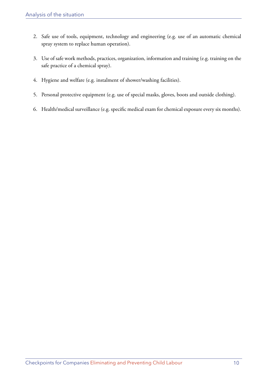- 2. Safe use of tools, equipment, technology and engineering (e.g. use of an automatic chemical spray system to replace human operation).
- 3. Use of safe work methods, practices, organization, information and training (e.g. training on the safe practice of a chemical spray).
- 4. Hygiene and welfare (e.g. instalment of shower/washing facilities).
- 5. Personal protective equipment (e.g. use of special masks, gloves, boots and outside clothing).
- 6. Health/medical surveillance (e.g. specific medical exam for chemical exposure every six months).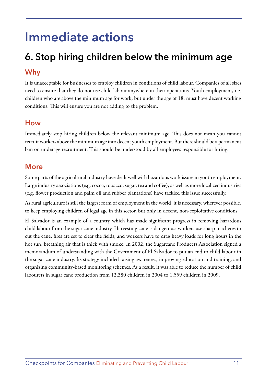## <span id="page-14-0"></span>**Immediate actions**

## **6. Stop hiring children below the minimum age Why**

It is unacceptable for businesses to employ children in conditions of child labour. Companies of all sizes need to ensure that they do not use child labour anywhere in their operations. Youth employment, i.e. children who are above the minimum age for work, but under the age of 18, must have decent working conditions. This will ensure you are not adding to the problem.

### **How**

Immediately stop hiring children below the relevant minimum age. This does not mean you cannot recruit workers above the minimum age into decent youth employment. But there should be a permanent ban on underage recruitment. This should be understood by all employees responsible for hiring.

### **More**

Some parts of the agricultural industry have dealt well with hazardous work issues in youth employment. Large industry associations (e.g. cocoa, tobacco, sugar, tea and coffee), as well as more localized industries (e.g. flower production and palm oil and rubber plantations) have tackled this issue successfully.

As rural agriculture is still the largest form of employment in the world, it is necessary, wherever possible, to keep employing children of legal age in this sector, but only in decent, non-exploitative conditions.

El Salvador is an example of a country which has made significant progress in removing hazardous child labour from the sugar cane industry. Harvesting cane is dangerous: workers use sharp machetes to cut the cane, fires are set to clear the fields, and workers have to drag heavy loads for long hours in the hot sun, breathing air that is thick with smoke. In 2002, the Sugarcane Producers Association signed a memorandum of understanding with the Government of El Salvador to put an end to child labour in the sugar cane industry. Its strategy included raising awareness, improving education and training, and organizing community-based monitoring schemes. As a result, it was able to reduce the number of child labourers in sugar cane production from 12,380 children in 2004 to 1,559 children in 2009.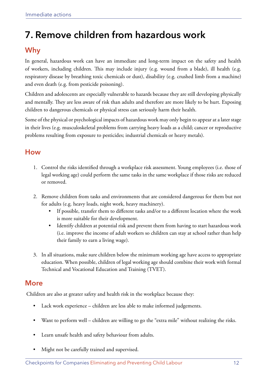## <span id="page-15-0"></span>**7. Remove children from hazardous work**

### **Why**

In general, hazardous work can have an immediate and long-term impact on the safety and health of workers, including children. This may include injury (e.g. wound from a blade), ill health (e.g. respiratory disease by breathing toxic chemicals or dust), disability (e.g. crushed limb from a machine) and even death (e.g. from pesticide poisoning).

Children and adolescents are especially vulnerable to hazards because they are still developing physically and mentally. They are less aware of risk than adults and therefore are more likely to be hurt. Exposing children to dangerous chemicals or physical stress can seriously harm their health.

Some of the physical or psychological impacts of hazardous work may only begin to appear at a later stage in their lives (e.g. musculoskeletal problems from carrying heavy loads as a child; cancer or reproductive problems resulting from exposure to pesticides; industrial chemicals or heavy metals).

### **How**

- 1. Control the risks identified through a workplace risk assessment. Young employees (i.e. those of legal working age) could perform the same tasks in the same workplace if those risks are reduced or removed.
- 2. Remove children from tasks and environments that are considered dangerous for them but not for adults (e.g. heavy loads, night work, heavy machinery).
	- If possible, transfer them to different tasks and/or to a different location where the work is more suitable for their development.
	- Identify children at potential risk and prevent them from having to start hazardous work (i.e. improve the income of adult workers so children can stay at school rather than help their family to earn a living wage).
- 3. In all situations, make sure children below the minimum working age have access to appropriate education. When possible, children of legal working age should combine their work with formal Technical and Vocational Education and Training (TVET).

### **More**

Children are also at greater safety and health risk in the workplace because they:

- Lack work experience children are less able to make informed judgements.
- Want to perform well children are willing to go the "extra mile" without realizing the risks.
- Learn unsafe health and safety behaviour from adults.
- Might not be carefully trained and supervised.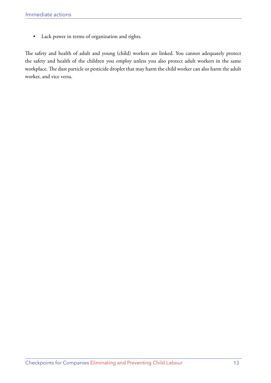• Lack power in terms of organization and rights.

The safety and health of adult and young (child) workers are linked. You cannot adequately protect the safety and health of the children you employ unless you also protect adult workers in the same workplace. The dust particle or pesticide droplet that may harm the child worker can also harm the adult worker, and vice versa.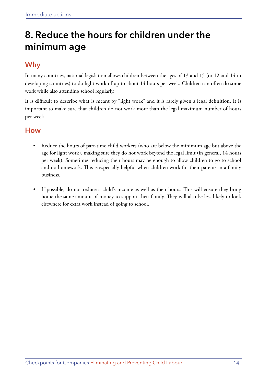## <span id="page-17-0"></span>**8. Reduce the hours for children under the minimum age**

### **Why**

In many countries, national legislation allows children between the ages of 13 and 15 (or 12 and 14 in developing countries) to do light work of up to about 14 hours per week. Children can often do some work while also attending school regularly.

It is difficult to describe what is meant by "light work" and it is rarely given a legal definition. It is important to make sure that children do not work more than the legal maximum number of hours per week.

### **How**

- Reduce the hours of part-time child workers (who are below the minimum age but above the age for light work), making sure they do not work beyond the legal limit (in general, 14 hours per week). Sometimes reducing their hours may be enough to allow children to go to school and do homework. This is especially helpful when children work for their parents in a family business.
- If possible, do not reduce a child's income as well as their hours. This will ensure they bring home the same amount of money to support their family. They will also be less likely to look elsewhere for extra work instead of going to school.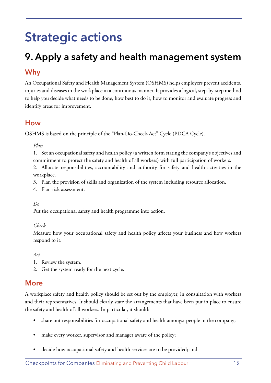## <span id="page-18-0"></span>**Strategic actions**

## **9. Apply a safety and health management system**

### **Why**

An Occupational Safety and Health Management System (OSHMS) helps employers prevent accidents, injuries and diseases in the workplace in a continuous manner. It provides a logical, step-by-step method to help you decide what needs to be done, how best to do it, how to monitor and evaluate progress and identify areas for improvement.

### **How**

OSHMS is based on the principle of the "Plan-Do-Check-Act" Cycle (PDCA Cycle).

*Plan*

1. Set an occupational safety and health policy (a written form stating the company's objectives and commitment to protect the safety and health of all workers) with full participation of workers.

2. Allocate responsibilities, accountability and authority for safety and health activities in the workplace.

- 3. Plan the provision of skills and organization of the system including resource allocation.
- 4. Plan risk assessment.
- *Do*

Put the occupational safety and health programme into action.

#### *Check*

Measure how your occupational safety and health policy affects your business and how workers respond to it.

*Act*

- 1. Review the system.
- 2. Get the system ready for the next cycle.

### **More**

A workplace safety and health policy should be set out by the employer, in consultation with workers and their representatives. It should clearly state the arrangements that have been put in place to ensure the safety and health of all workers. In particular, it should:

- share out responsibilities for occupational safety and health amongst people in the company;
- make every worker, supervisor and manager aware of the policy;
- decide how occupational safety and health services are to be provided; and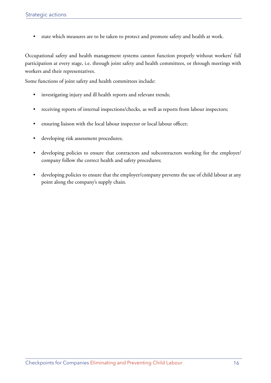• state which measures are to be taken to protect and promote safety and health at work.

Occupational safety and health management systems cannot function properly without workers' full participation at every stage, i.e. through joint safety and health committees, or through meetings with workers and their representatives.

Some functions of joint safety and health committees include:

- investigating injury and ill health reports and relevant trends;
- receiving reports of internal inspections/checks, as well as reports from labour inspectors;
- ensuring liaison with the local labour inspector or local labour officer;
- developing risk assessment procedures;
- developing policies to ensure that contractors and subcontractors working for the employer/ company follow the correct health and safety procedures;
- developing policies to ensure that the employer/company prevents the use of child labour at any point along the company's supply chain.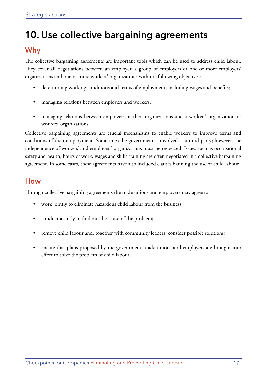## <span id="page-20-0"></span>**10. Use collective bargaining agreements**

### **Why**

The collective bargaining agreements are important tools which can be used to address child labour. They cover all negotiations between an employer, a group of employers or one or more employers' organizations and one or more workers' organizations with the following objectives:

- determining working conditions and terms of employment, including wages and benefits;
- managing relations between employers and workers;
- managing relations between employers or their organizations and a workers' organization or workers' organizations.

Collective bargaining agreements are crucial mechanisms to enable workers to improve terms and conditions of their employment. Sometimes the government is involved as a third party; however, the independence of workers' and employers' organizations must be respected. Issues such as occupational safety and health, hours of work, wages and skills training are often negotiated in a collective bargaining agreement. In some cases, these agreements have also included clauses banning the use of child labour.

### **How**

Through collective bargaining agreements the trade unions and employers may agree to:

- work jointly to eliminate hazardous child labour from the business;
- conduct a study to find out the cause of the problem;
- remove child labour and, together with community leaders, consider possible solutions;
- ensure that plans proposed by the government, trade unions and employers are brought into effect to solve the problem of child labour.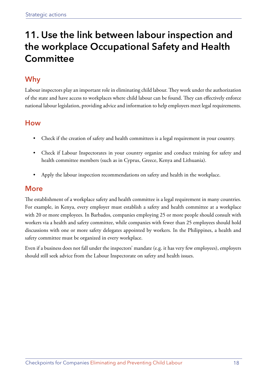## <span id="page-21-0"></span>**11. Use the link between labour inspection and the workplace Occupational Safety and Health Committee**

### **Why**

Labour inspectors play an important role in eliminating child labour. They work under the authorization of the state and have access to workplaces where child labour can be found. They can effectively enforce national labour legislation, providing advice and information to help employers meet legal requirements.

### **How**

- Check if the creation of safety and health committees is a legal requirement in your country.
- Check if Labour Inspectorates in your country organize and conduct training for safety and health committee members (such as in Cyprus, Greece, Kenya and Lithuania).
- Apply the labour inspection recommendations on safety and health in the workplace.

### **More**

The establishment of a workplace safety and health committee is a legal requirement in many countries. For example, in Kenya, every employer must establish a safety and health committee at a workplace with 20 or more employees. In Barbados, companies employing 25 or more people should consult with workers via a health and safety committee, while companies with fewer than 25 employees should hold discussions with one or more safety delegates appointed by workers. In the Philippines, a health and safety committee must be organized in every workplace.

Even if a business does not fall under the inspectors' mandate (e.g. it has very few employees), employers should still seek advice from the Labour Inspectorate on safety and health issues.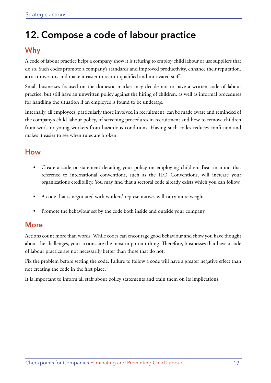## <span id="page-22-0"></span>**12. Compose a code of labour practice**

### **Why**

A code of labour practice helps a company show it is refusing to employ child labour or use suppliers that do so. Such codes promote a company's standards and improved productivity, enhance their reputation, attract investors and make it easier to recruit qualified and motivated staff.

Small businesses focused on the domestic market may decide not to have a written code of labour practice, but still have an unwritten policy against the hiring of children, as well as informal procedures for handling the situation if an employee is found to be underage.

Internally, all employees, particularly those involved in recruitment, can be made aware and reminded of the company's child labour policy, of screening procedures in recruitment and how to remove children from work or young workers from hazardous conditions. Having such codes reduces confusion and makes it easier to see when rules are broken.

### **How**

- Create a code or statement detailing your policy on employing children. Bear in mind that reference to international conventions, such as the ILO Conventions, will increase your organization's credibility. You may find that a sectoral code already exists which you can follow.
- A code that is negotiated with workers' representatives will carry more weight.
- Promote the behaviour set by the code both inside and outside your company.

### **More**

Actions count more than words. While codes can encourage good behaviour and show you have thought about the challenges, your actions are the most important thing. Therefore, businesses that have a code of labour practice are not necessarily better than those that do not.

Fix the problem before setting the code. Failure to follow a code will have a greater negative effect than not creating the code in the first place.

It is important to inform all staff about policy statements and train them on its implications.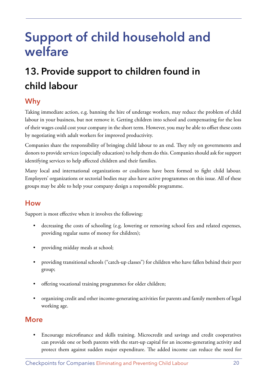## <span id="page-23-0"></span>**Support of child household and welfare**

## **13. Provide support to children found in child labour**

### **Why**

Taking immediate action, e.g. banning the hire of underage workers, may reduce the problem of child labour in your business, but not remove it. Getting children into school and compensating for the loss of their wages could cost your company in the short term. However, you may be able to offset these costs by negotiating with adult workers for improved productivity.

Companies share the responsibility of bringing child labour to an end. They rely on governments and donors to provide services (especially education) to help them do this. Companies should ask for support identifying services to help affected children and their families.

Many local and international organizations or coalitions have been formed to fight child labour. Employers' organizations or sectorial bodies may also have active programmes on this issue. All of these groups may be able to help your company design a responsible programme.

### **How**

Support is most effective when it involves the following:

- decreasing the costs of schooling (e.g. lowering or removing school fees and related expenses, providing regular sums of money for children);
- providing midday meals at school;
- providing transitional schools ("catch-up classes") for children who have fallen behind their peer group;
- offering vocational training programmes for older children;
- organizing credit and other income-generating activities for parents and family members of legal working age.

### **More**

• Encourage microfinance and skills training. Microcredit and savings and credit cooperatives can provide one or both parents with the start-up capital for an income-generating activity and protect them against sudden major expenditure. The added income can reduce the need for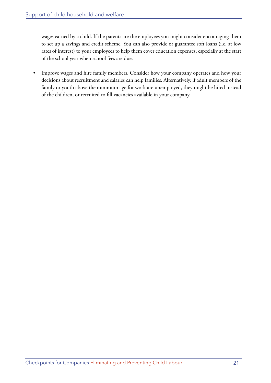wages earned by a child. If the parents are the employees you might consider encouraging them to set up a savings and credit scheme. You can also provide or guarantee soft loans (i.e. at low rates of interest) to your employees to help them cover education expenses, especially at the start of the school year when school fees are due.

• Improve wages and hire family members. Consider how your company operates and how your decisions about recruitment and salaries can help families. Alternatively, if adult members of the family or youth above the minimum age for work are unemployed, they might be hired instead of the children, or recruited to fill vacancies available in your company.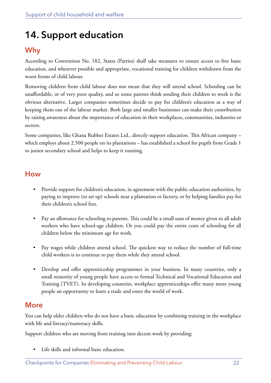## <span id="page-25-0"></span>**14. Support education**

### **Why**

According to Convention No. 182, States (Parties) shall take measures to ensure access to free basic education, and wherever possible and appropriate, vocational training for children withdrawn from the worst forms of child labour.

Removing children from child labour does not mean that they will attend school. Schooling can be unaffordable, or of very poor quality, and so some parents think sending their children to work is the obvious alternative. Larger companies sometimes decide to pay for children's education as a way of keeping them out of the labour market. Both large and smaller businesses can make their contribution by raising awareness about the importance of education in their workplaces, communities, industries or sectors.

Some companies, like Ghana Rubber Estates Ltd., directly support education. This African company – which employs about 2,500 people on its plantations – has established a school for pupils from Grade 1 to junior secondary school and helps to keep it running.

### **How**

- Provide support for children's education, in agreement with the public education authorities, by paying to improve (or set up) schools near a plantation or factory, or by helping families pay for their children's school fees.
- Pay an allowance for schooling to parents. This could be a small sum of money given to all adult workers who have school-age children. Or you could pay the entire costs of schooling for all children below the minimum age for work.
- Pay wages while children attend school. The quickest way to reduce the number of full-time child workers is to continue to pay them while they attend school.
- Develop and offer apprenticeship programmes in your business. In many countries, only a small minority of young people have access to formal Technical and Vocational Education and Training (TVET). In developing countries, workplace apprenticeships offer many more young people an opportunity to learn a trade and enter the world of work.

### **More**

You can help older children who do not have a basic education by combining training in the workplace with life and literacy/numeracy skills.

Support children who are moving from training into decent work by providing:

• Life skills and informal basic education.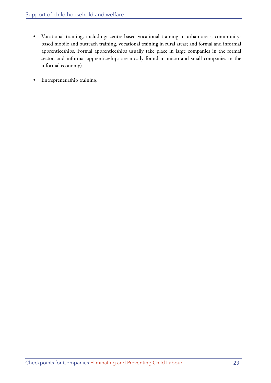- Vocational training, including: centre-based vocational training in urban areas; communitybased mobile and outreach training, vocational training in rural areas; and formal and informal apprenticeships. Formal apprenticeships usually take place in large companies in the formal sector, and informal apprenticeships are mostly found in micro and small companies in the informal economy).
- Entrepreneurship training.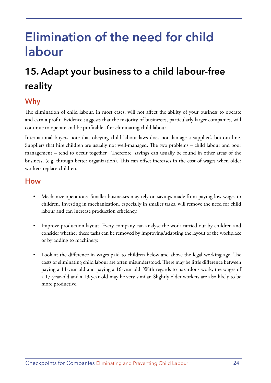## <span id="page-27-0"></span>**Elimination of the need for child labour**

## **15. Adapt your business to a child labour-free reality**

### **Why**

The elimination of child labour, in most cases, will not affect the ability of your business to operate and earn a profit. Evidence suggests that the majority of businesses, particularly larger companies, will continue to operate and be profitable after eliminating child labour.

International buyers note that obeying child labour laws does not damage a supplier's bottom line. Suppliers that hire children are usually not well-managed. The two problems – child labour and poor management – tend to occur together. Therefore, savings can usually be found in other areas of the business, (e.g. through better organization). This can offset increases in the cost of wages when older workers replace children.

### **How**

- Mechanize operations. Smaller businesses may rely on savings made from paying low wages to children. Investing in mechanization, especially in smaller tasks, will remove the need for child labour and can increase production efficiency.
- Improve production layout. Every company can analyse the work carried out by children and consider whether these tasks can be removed by improving/adapting the layout of the workplace or by adding to machinery.
- Look at the difference in wages paid to children below and above the legal working age. The costs of eliminating child labour are often misunderstood. There may be little difference between paying a 14-year-old and paying a 16-year-old. With regards to hazardous work, the wages of a 17-year-old and a 19-year-old may be very similar. Slightly older workers are also likely to be more productive.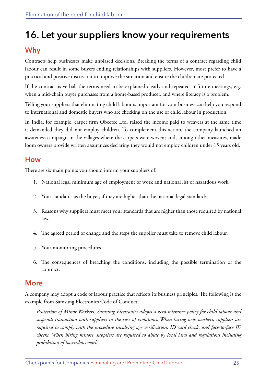## <span id="page-28-0"></span>**16. Let your suppliers know your requirements**

### **Why**

Contracts help businesses make unbiased decisions. Breaking the terms of a contract regarding child labour can result in some buyers ending relationships with suppliers. However, most prefer to have a practical and positive discussion to improve the situation and ensure the children are protected.

If the contract is verbal, the terms need to be explained clearly and repeated at future meetings, e.g. when a mid-chain buyer purchases from a home-based producer, and where literacy is a problem.

Telling your suppliers that eliminating child labour is important for your business can help you respond to international and domestic buyers who are checking on the use of child labour in production.

In India, for example, carpet firm Obeetee Ltd. raised the income paid to weavers at the same time it demanded they did not employ children. To complement this action, the company launched an awareness campaign in the villages where the carpets were woven; and, among other measures, made loom owners provide written assurances declaring they would not employ children under 15 years old.

### **How**

There are six main points you should inform your suppliers of:

- 1. National legal minimum age of employment or work and national list of hazardous work.
- 2. Your standards as the buyer, if they are higher than the national legal standards.
- 3. Reasons why suppliers must meet your standards that are higher than those required by national law.
- 4. The agreed period of change and the steps the supplier must take to remove child labour.
- 5. Your monitoring procedures.
- 6. The consequences of breaching the conditions, including the possible termination of the contract.

### **More**

A company may adopt a code of labour practice that reflects its business principles. The following is the example from Samsung Electronics Code of Conduct.

*Protection of Minor Workers. Samsung Electronics adopts a zero-tolerance policy for child labour and suspends transaction with suppliers in the case of violations. When hiring new workers, suppliers are required to comply with the procedure involving age verification, ID card check, and face-to-face ID checks. When hiring minors, suppliers are required to abide by local laws and regulations including prohibition of hazardous work.*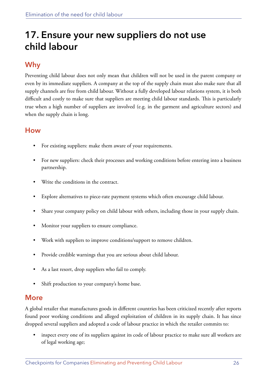## <span id="page-29-0"></span>**17. Ensure your new suppliers do not use child labour**

### **Why**

Preventing child labour does not only mean that children will not be used in the parent company or even by its immediate suppliers. A company at the top of the supply chain must also make sure that all supply channels are free from child labour. Without a fully developed labour relations system, it is both difficult and costly to make sure that suppliers are meeting child labour standards. This is particularly true when a high number of suppliers are involved (e.g. in the garment and agriculture sectors) and when the supply chain is long.

### **How**

- For existing suppliers: make them aware of your requirements.
- For new suppliers: check their processes and working conditions before entering into a business partnership.
- Write the conditions in the contract.
- Explore alternatives to piece-rate payment systems which often encourage child labour.
- Share your company policy on child labour with others, including those in your supply chain.
- Monitor your suppliers to ensure compliance.
- Work with suppliers to improve conditions/support to remove children.
- Provide credible warnings that you are serious about child labour.
- As a last resort, drop suppliers who fail to comply.
- Shift production to your company's home base.

### **More**

A global retailer that manufactures goods in different countries has been criticized recently after reports found poor working conditions and alleged exploitation of children in its supply chain. It has since dropped several suppliers and adopted a code of labour practice in which the retailer commits to:

• inspect every one of its suppliers against its code of labour practice to make sure all workers are of legal working age;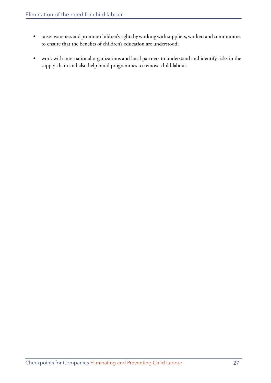- raise awareness and promote children's rights by working with suppliers, workers and communities to ensure that the benefits of children's education are understood;
- work with international organizations and local partners to understand and identify risks in the supply chain and also help build programmes to remove child labour.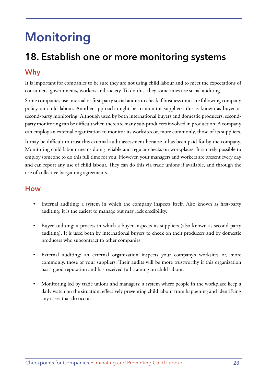## <span id="page-31-0"></span>**Monitoring**

# **18. Establish one or more monitoring systems**

### **Why**

It is important for companies to be sure they are not using child labour and to meet the expectations of consumers, governments, workers and society. To do this, they sometimes use social auditing.

Some companies use internal or first-party social audits to check if business units are following company policy on child labour. Another approach might be to monitor suppliers; this is known as buyer or second-party monitoring. Although used by both international buyers and domestic producers, secondparty monitoring can be difficult when there are many sub-producers involved in production. A company can employ an external organization to monitor its worksites or, more commonly, those of its suppliers.

It may be difficult to trust this external audit assessment because it has been paid for by the company. Monitoring child labour means doing reliable and regular checks on workplaces. It is rarely possible to employ someone to do this full time for you. However, your managers and workers are present every day and can report any use of child labour. They can do this via trade unions if available, and through the use of collective bargaining agreements.

#### **How**

- Internal auditing: a system in which the company inspects itself. Also known as first-party auditing, it is the easiest to manage but may lack credibility.
- Buyer auditing: a process in which a buyer inspects its suppliers (also known as second-party auditing). It is used both by international buyers to check on their producers and by domestic producers who subcontract to other companies.
- External auditing: an external organization inspects your company's worksites or, more commonly, those of your suppliers. Their audits will be more trustworthy if this organization has a good reputation and has received full training on child labour.
- Monitoring led by trade unions and managers: a system where people in the workplace keep a daily watch on the situation, effectively preventing child labour from happening and identifying any cases that do occur.